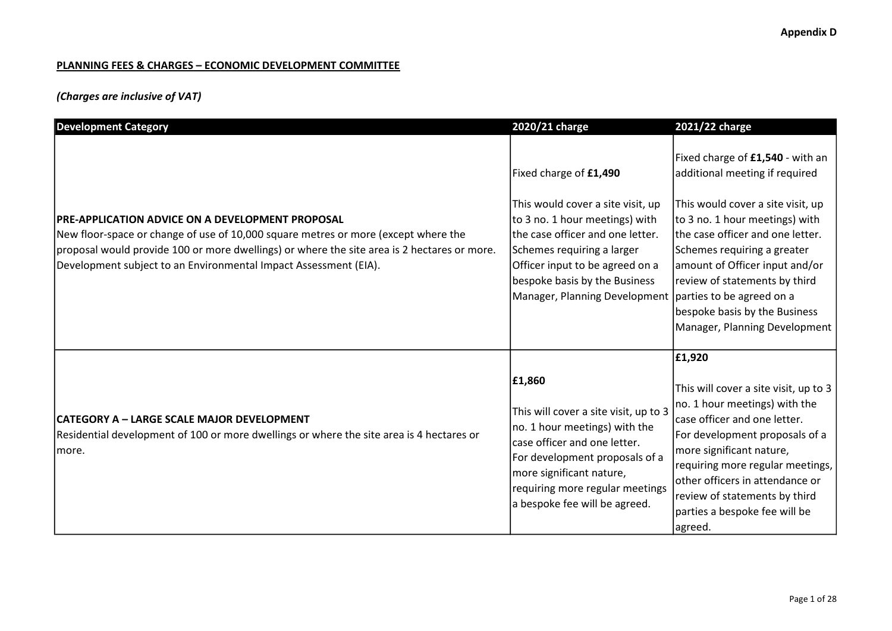### PLANNING FEES & CHARGES – ECONOMIC DEVELOPMENT COMMITTEE

# (Charges are inclusive of VAT)

| <b>Development Category</b>                                                                                                                                                                                                                                                                                      | 2020/21 charge                                                                                                                                                                                                                                                                                   | 2021/22 charge                                                                                                                                                                                                                                                                                                                                    |
|------------------------------------------------------------------------------------------------------------------------------------------------------------------------------------------------------------------------------------------------------------------------------------------------------------------|--------------------------------------------------------------------------------------------------------------------------------------------------------------------------------------------------------------------------------------------------------------------------------------------------|---------------------------------------------------------------------------------------------------------------------------------------------------------------------------------------------------------------------------------------------------------------------------------------------------------------------------------------------------|
| <b>PRE-APPLICATION ADVICE ON A DEVELOPMENT PROPOSAL</b><br>New floor-space or change of use of 10,000 square metres or more (except where the<br>proposal would provide 100 or more dwellings) or where the site area is 2 hectares or more.<br>Development subject to an Environmental Impact Assessment (EIA). | Fixed charge of £1,490<br>This would cover a site visit, up<br>to 3 no. 1 hour meetings) with<br>the case officer and one letter.<br>Schemes requiring a larger<br>Officer input to be agreed on a<br>bespoke basis by the Business<br>Manager, Planning Development   parties to be agreed on a | Fixed charge of £1,540 - with an<br>additional meeting if required<br>This would cover a site visit, up<br>to 3 no. 1 hour meetings) with<br>the case officer and one letter.<br>Schemes requiring a greater<br>amount of Officer input and/or<br>review of statements by third<br>bespoke basis by the Business<br>Manager, Planning Development |
| CATEGORY A – LARGE SCALE MAJOR DEVELOPMENT<br>Residential development of 100 or more dwellings or where the site area is 4 hectares or<br>Imore.                                                                                                                                                                 | £1,860<br>This will cover a site visit, up to 3<br>no. 1 hour meetings) with the<br>case officer and one letter.<br>For development proposals of a<br>more significant nature,<br>requiring more regular meetings<br>a bespoke fee will be agreed.                                               | £1,920<br>This will cover a site visit, up to 3<br>no. 1 hour meetings) with the<br>case officer and one letter.<br>For development proposals of a<br>more significant nature,<br>requiring more regular meetings,<br>other officers in attendance or<br>review of statements by third<br>parties a bespoke fee will be<br>agreed.                |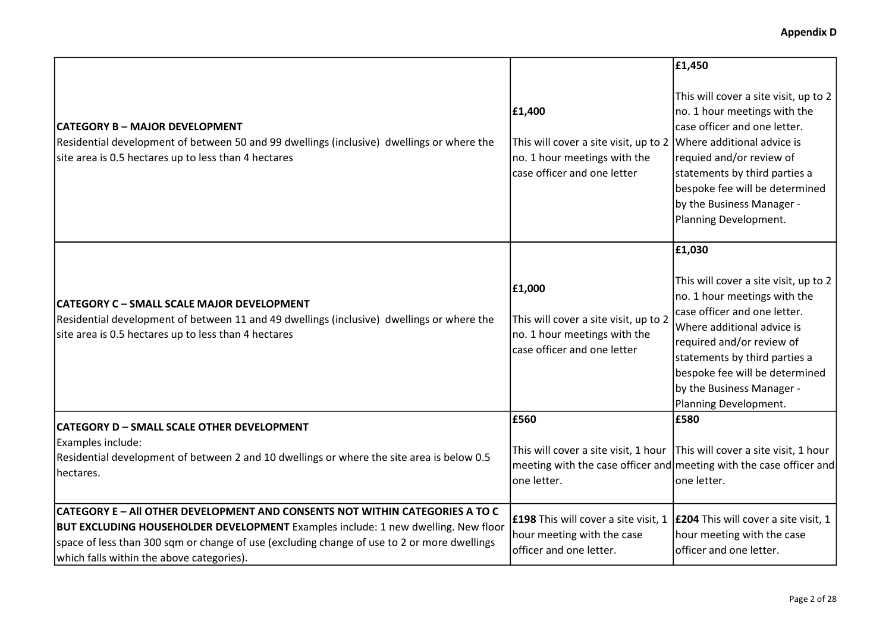|                                                                                                                                                                                                                                                                                                                             |                                                                                                                                           | £1,450                                                                                                                                                                                                                                                                                              |
|-----------------------------------------------------------------------------------------------------------------------------------------------------------------------------------------------------------------------------------------------------------------------------------------------------------------------------|-------------------------------------------------------------------------------------------------------------------------------------------|-----------------------------------------------------------------------------------------------------------------------------------------------------------------------------------------------------------------------------------------------------------------------------------------------------|
| <b>CATEGORY B - MAJOR DEVELOPMENT</b><br>Residential development of between 50 and 99 dwellings (inclusive) dwellings or where the<br>site area is 0.5 hectares up to less than 4 hectares                                                                                                                                  | £1,400<br>This will cover a site visit, up to 2 Where additional advice is<br>no. 1 hour meetings with the<br>case officer and one letter | This will cover a site visit, up to 2<br>no. 1 hour meetings with the<br>case officer and one letter.<br>requied and/or review of<br>statements by third parties a<br>bespoke fee will be determined<br>by the Business Manager -<br>Planning Development.                                          |
| CATEGORY C - SMALL SCALE MAJOR DEVELOPMENT<br>Residential development of between 11 and 49 dwellings (inclusive) dwellings or where the<br>site area is 0.5 hectares up to less than 4 hectares                                                                                                                             | £1,000<br>This will cover a site visit, up to 2<br>no. 1 hour meetings with the<br>case officer and one letter                            | £1,030<br>This will cover a site visit, up to 2<br>no. 1 hour meetings with the<br>case officer and one letter.<br>Where additional advice is<br>required and/or review of<br>statements by third parties a<br>bespoke fee will be determined<br>by the Business Manager -<br>Planning Development. |
| <b>CATEGORY D - SMALL SCALE OTHER DEVELOPMENT</b><br>Examples include:<br>Residential development of between 2 and 10 dwellings or where the site area is below 0.5<br>hectares.                                                                                                                                            | E560<br>This will cover a site visit, 1 hour This will cover a site visit, 1 hour<br>one letter.                                          | £580<br> meeting with the case officer and meeting with the case officer and<br>one letter.                                                                                                                                                                                                         |
| <b>CATEGORY E - AII OTHER DEVELOPMENT AND CONSENTS NOT WITHIN CATEGORIES A TO C</b><br><b>BUT EXCLUDING HOUSEHOLDER DEVELOPMENT</b> Examples include: 1 new dwelling. New floor<br>space of less than 300 sqm or change of use (excluding change of use to 2 or more dwellings<br>which falls within the above categories). | <b>£198</b> This will cover a site visit, 1<br>hour meeting with the case<br>officer and one letter.                                      | <b>E204</b> This will cover a site visit, 1<br>hour meeting with the case<br>officer and one letter.                                                                                                                                                                                                |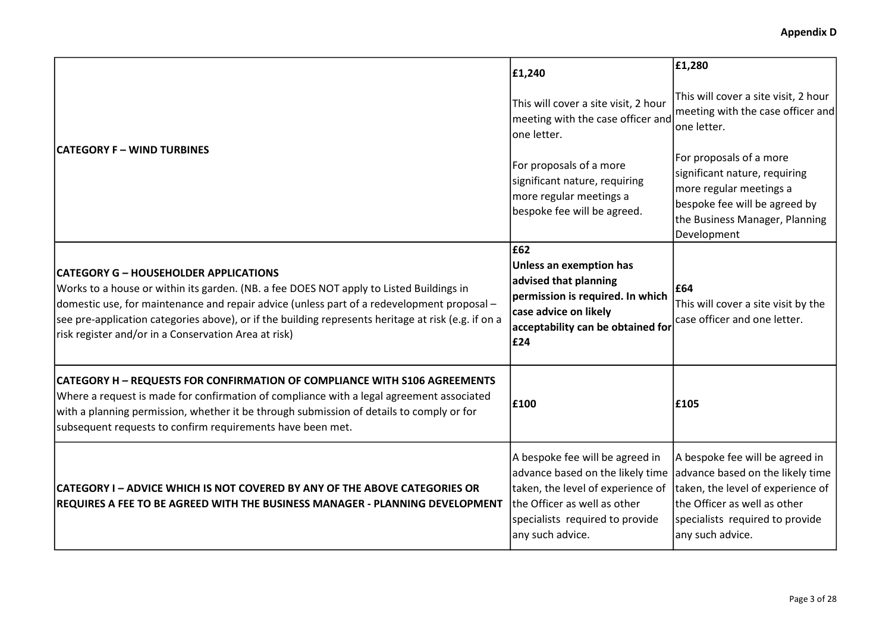|                                                                                                                                                                                                                                                                                                                                                                                                      | £1,240                                                                                                                                                                                          | £1,280                                                                                                                                                                                          |
|------------------------------------------------------------------------------------------------------------------------------------------------------------------------------------------------------------------------------------------------------------------------------------------------------------------------------------------------------------------------------------------------------|-------------------------------------------------------------------------------------------------------------------------------------------------------------------------------------------------|-------------------------------------------------------------------------------------------------------------------------------------------------------------------------------------------------|
| CATEGORY F – WIND TURBINES                                                                                                                                                                                                                                                                                                                                                                           | This will cover a site visit, 2 hour<br>meeting with the case officer and<br>one letter.                                                                                                        | This will cover a site visit, 2 hour<br>meeting with the case officer and<br>one letter.                                                                                                        |
|                                                                                                                                                                                                                                                                                                                                                                                                      | For proposals of a more<br>significant nature, requiring<br>more regular meetings a<br>bespoke fee will be agreed.                                                                              | For proposals of a more<br>significant nature, requiring<br>more regular meetings a<br>bespoke fee will be agreed by<br>the Business Manager, Planning<br>Development                           |
| <b>CATEGORY G - HOUSEHOLDER APPLICATIONS</b><br>Works to a house or within its garden. (NB. a fee DOES NOT apply to Listed Buildings in<br>domestic use, for maintenance and repair advice (unless part of a redevelopment proposal -<br>see pre-application categories above), or if the building represents heritage at risk (e.g. if on a<br>risk register and/or in a Conservation Area at risk) | £62<br>Unless an exemption has<br>advised that planning<br>permission is required. In which<br>case advice on likely<br>acceptability can be obtained for<br>£24                                | £64<br>This will cover a site visit by the<br>case officer and one letter.                                                                                                                      |
| <b>CATEGORY H - REQUESTS FOR CONFIRMATION OF COMPLIANCE WITH S106 AGREEMENTS</b><br>Where a request is made for confirmation of compliance with a legal agreement associated<br>with a planning permission, whether it be through submission of details to comply or for<br>subsequent requests to confirm requirements have been met.                                                               | £100                                                                                                                                                                                            | £105                                                                                                                                                                                            |
| CATEGORY I - ADVICE WHICH IS NOT COVERED BY ANY OF THE ABOVE CATEGORIES OR<br><b>REQUIRES A FEE TO BE AGREED WITH THE BUSINESS MANAGER - PLANNING DEVELOPMENT</b>                                                                                                                                                                                                                                    | A bespoke fee will be agreed in<br>advance based on the likely time<br>taken, the level of experience of<br>the Officer as well as other<br>specialists required to provide<br>any such advice. | A bespoke fee will be agreed in<br>advance based on the likely time<br>taken, the level of experience of<br>the Officer as well as other<br>specialists required to provide<br>any such advice. |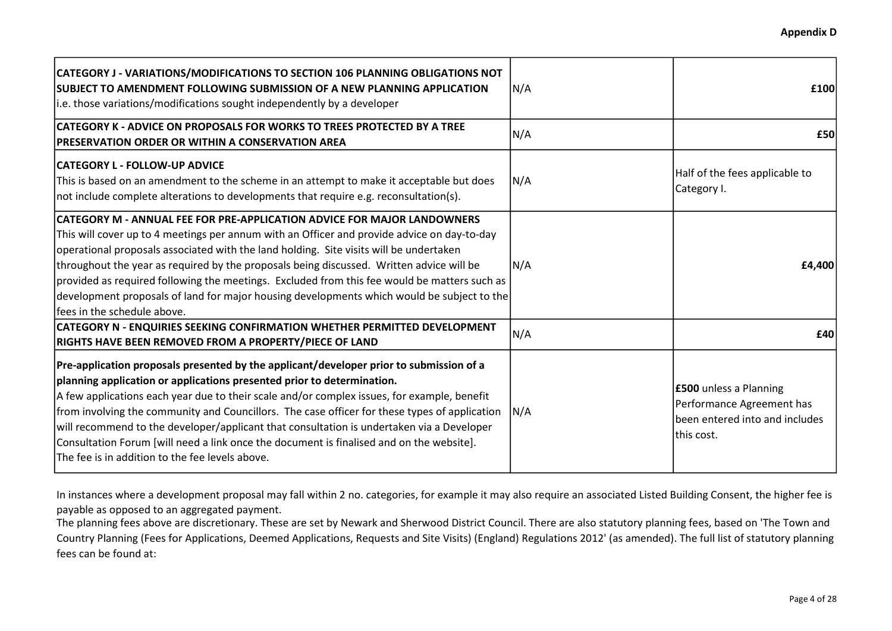| CATEGORY J - VARIATIONS/MODIFICATIONS TO SECTION 106 PLANNING OBLIGATIONS NOT<br>SUBJECT TO AMENDMENT FOLLOWING SUBMISSION OF A NEW PLANNING APPLICATION<br>i.e. those variations/modifications sought independently by a developer                                                                                                                                                                                                                                                                                                                                                                           | N/A | £100                                                                                                       |
|---------------------------------------------------------------------------------------------------------------------------------------------------------------------------------------------------------------------------------------------------------------------------------------------------------------------------------------------------------------------------------------------------------------------------------------------------------------------------------------------------------------------------------------------------------------------------------------------------------------|-----|------------------------------------------------------------------------------------------------------------|
| CATEGORY K - ADVICE ON PROPOSALS FOR WORKS TO TREES PROTECTED BY A TREE<br>PRESERVATION ORDER OR WITHIN A CONSERVATION AREA                                                                                                                                                                                                                                                                                                                                                                                                                                                                                   | N/A | £50                                                                                                        |
| <b>CATEGORY L - FOLLOW-UP ADVICE</b><br>This is based on an amendment to the scheme in an attempt to make it acceptable but does<br>not include complete alterations to developments that require e.g. reconsultation(s).                                                                                                                                                                                                                                                                                                                                                                                     | N/A | Half of the fees applicable to<br>Category I.                                                              |
| <b>CATEGORY M - ANNUAL FEE FOR PRE-APPLICATION ADVICE FOR MAJOR LANDOWNERS</b><br>This will cover up to 4 meetings per annum with an Officer and provide advice on day-to-day<br>operational proposals associated with the land holding. Site visits will be undertaken<br>throughout the year as required by the proposals being discussed. Written advice will be<br>provided as required following the meetings. Excluded from this fee would be matters such as<br>development proposals of land for major housing developments which would be subject to the<br>lfees in the schedule above.             | N/A | £4,400                                                                                                     |
| <b>CATEGORY N - ENQUIRIES SEEKING CONFIRMATION WHETHER PERMITTED DEVELOPMENT</b><br><b>RIGHTS HAVE BEEN REMOVED FROM A PROPERTY/PIECE OF LAND</b>                                                                                                                                                                                                                                                                                                                                                                                                                                                             | N/A | £40                                                                                                        |
| Pre-application proposals presented by the applicant/developer prior to submission of a<br>planning application or applications presented prior to determination.<br>A few applications each year due to their scale and/or complex issues, for example, benefit<br>from involving the community and Councillors. The case officer for these types of application<br>will recommend to the developer/applicant that consultation is undertaken via a Developer<br>Consultation Forum [will need a link once the document is finalised and on the website].<br>The fee is in addition to the fee levels above. | N/A | <b>£500</b> unless a Planning<br>Performance Agreement has<br>been entered into and includes<br>this cost. |

In instances where a development proposal may fall within 2 no. categories, for example it may also require an associated Listed Building Consent, the higher fee is payable as opposed to an aggregated payment.

The planning fees above are discretionary. These are set by Newark and Sherwood District Council. There are also statutory planning fees, based on 'The Town and Country Planning (Fees for Applications, Deemed Applications, Requests and Site Visits) (England) Regulations 2012' (as amended). The full list of statutory planning fees can be found at: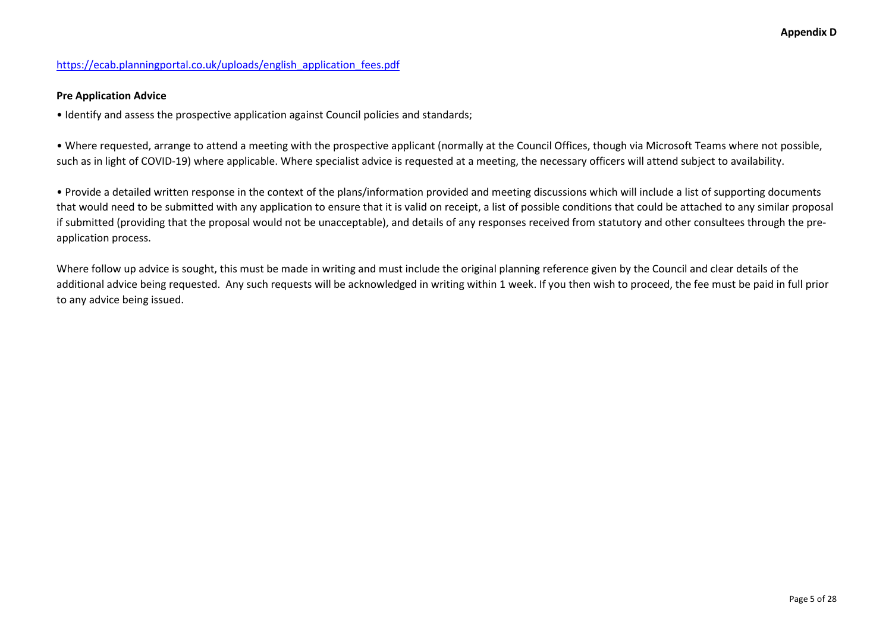### https://ecab.planningportal.co.uk/uploads/english\_application\_fees.pdf

#### Pre Application Advice

• Identify and assess the prospective application against Council policies and standards;

• Where requested, arrange to attend a meeting with the prospective applicant (normally at the Council Offices, though via Microsoft Teams where not possible, such as in light of COVID-19) where applicable. Where specialist advice is requested at a meeting, the necessary officers will attend subject to availability.

• Provide a detailed written response in the context of the plans/information provided and meeting discussions which will include a list of supporting documents that would need to be submitted with any application to ensure that it is valid on receipt, a list of possible conditions that could be attached to any similar proposal if submitted (providing that the proposal would not be unacceptable), and details of any responses received from statutory and other consultees through the preapplication process.

Where follow up advice is sought, this must be made in writing and must include the original planning reference given by the Council and clear details of the additional advice being requested. Any such requests will be acknowledged in writing within 1 week. If you then wish to proceed, the fee must be paid in full prior to any advice being issued.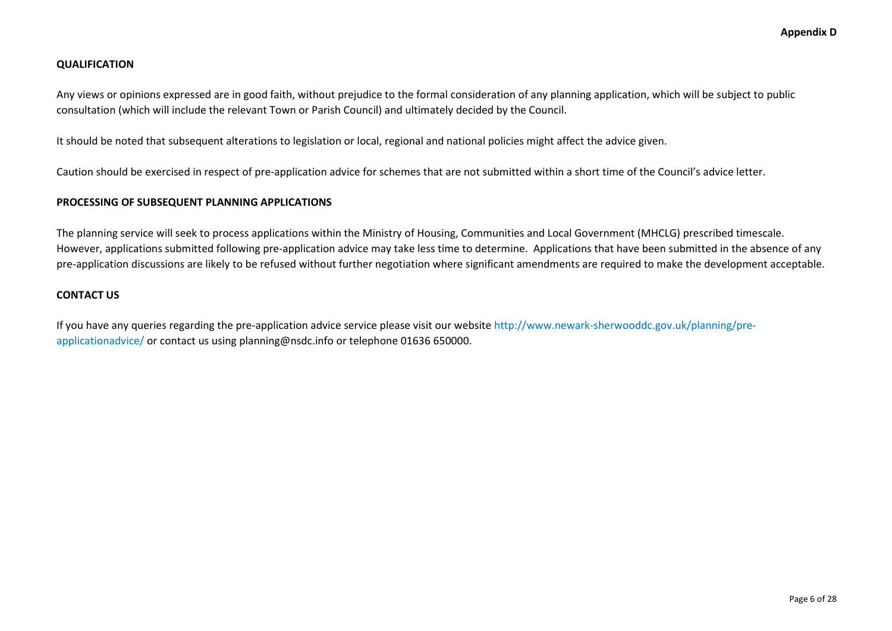#### **QUALIFICATION**

Any views or opinions expressed are in good faith, without prejudice to the formal consideration of any planning application, which will be subject to public consultation (which will include the relevant Town or Parish Council) and ultimately decided by the Council.

It should be noted that subsequent alterations to legislation or local, regional and national policies might affect the advice given.

Caution should be exercised in respect of pre-application advice for schemes that are not submitted within a short time of the Council's advice letter.

#### PROCESSING OF SUBSEQUENT PLANNING APPLICATIONS

The planning service will seek to process applications within the Ministry of Housing, Communities and Local Government (MHCLG) prescribed timescale. However, applications submitted following pre-application advice may take less time to determine. Applications that have been submitted in the absence of any pre-application discussions are likely to be refused without further negotiation where significant amendments are required to make the development acceptable.

#### CONTACT US

If you have any queries regarding the pre-application advice service please visit our website http://www.newark-sherwooddc.gov.uk/planning/preapplicationadvice/ or contact us using planning@nsdc.info or telephone 01636 650000.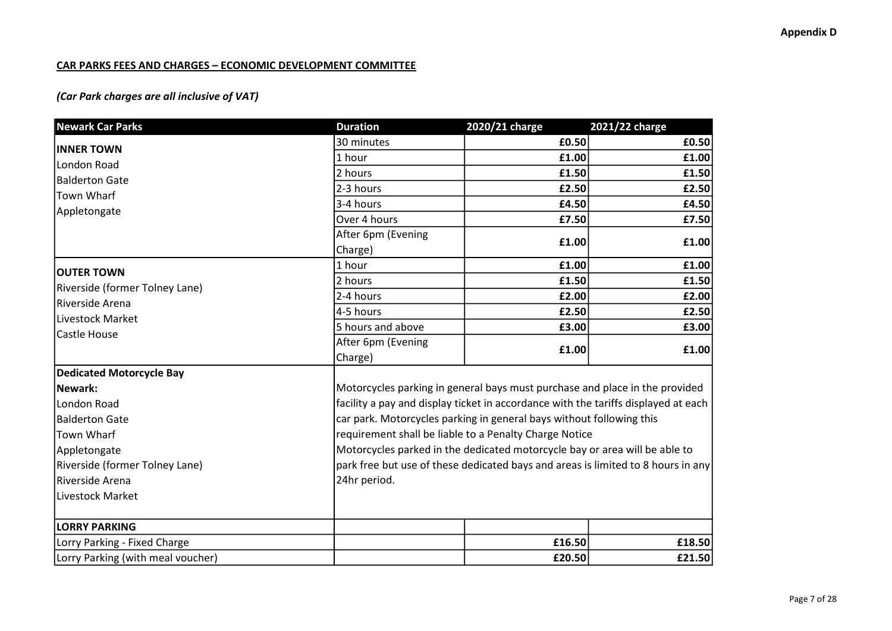### CAR PARKS FEES AND CHARGES – ECONOMIC DEVELOPMENT COMMITTEE

# (Car Park charges are all inclusive of VAT)

| £0.50<br>30 minutes<br><b>INNER TOWN</b><br>1 hour<br>£1.00<br>London Road<br>£1.50<br>2 hours<br><b>Balderton Gate</b><br>2-3 hours<br>£2.50<br>Town Wharf<br>£4.50<br>3-4 hours<br>Appletongate<br>Over 4 hours<br>£7.50<br>After 6pm (Evening<br>£1.00<br>Charge)<br>1 hour<br>£1.00<br><b>OUTER TOWN</b><br>£1.50<br>2 hours<br>Riverside (former Tolney Lane)<br>2-4 hours<br>£2.00<br>Riverside Arena<br>4-5 hours<br>£2.50<br>Livestock Market<br>5 hours and above<br>£3.00<br>Castle House<br>After 6pm (Evening<br>£1.00<br>Charge)<br>Motorcycles parking in general bays must purchase and place in the provided<br>car park. Motorcycles parking in general bays without following this<br>requirement shall be liable to a Penalty Charge Notice<br>Motorcycles parked in the dedicated motorcycle bay or area will be able to<br>24hr period.<br><b>LORRY PARKING</b><br>£16.50<br>Lorry Parking - Fixed Charge | <b>Newark Car Parks</b>           | <b>Duration</b> | 2020/21 charge                                                                   | 2021/22 charge |  |
|--------------------------------------------------------------------------------------------------------------------------------------------------------------------------------------------------------------------------------------------------------------------------------------------------------------------------------------------------------------------------------------------------------------------------------------------------------------------------------------------------------------------------------------------------------------------------------------------------------------------------------------------------------------------------------------------------------------------------------------------------------------------------------------------------------------------------------------------------------------------------------------------------------------------------------|-----------------------------------|-----------------|----------------------------------------------------------------------------------|----------------|--|
| £1.00<br>£7.50<br>facility a pay and display ticket in accordance with the tariffs displayed at each                                                                                                                                                                                                                                                                                                                                                                                                                                                                                                                                                                                                                                                                                                                                                                                                                           |                                   |                 |                                                                                  | £0.50          |  |
|                                                                                                                                                                                                                                                                                                                                                                                                                                                                                                                                                                                                                                                                                                                                                                                                                                                                                                                                |                                   |                 |                                                                                  |                |  |
| £2.50<br>£4.50<br>£1.00                                                                                                                                                                                                                                                                                                                                                                                                                                                                                                                                                                                                                                                                                                                                                                                                                                                                                                        |                                   |                 |                                                                                  | £1.50          |  |
|                                                                                                                                                                                                                                                                                                                                                                                                                                                                                                                                                                                                                                                                                                                                                                                                                                                                                                                                |                                   |                 |                                                                                  |                |  |
|                                                                                                                                                                                                                                                                                                                                                                                                                                                                                                                                                                                                                                                                                                                                                                                                                                                                                                                                |                                   |                 |                                                                                  |                |  |
|                                                                                                                                                                                                                                                                                                                                                                                                                                                                                                                                                                                                                                                                                                                                                                                                                                                                                                                                |                                   |                 |                                                                                  |                |  |
|                                                                                                                                                                                                                                                                                                                                                                                                                                                                                                                                                                                                                                                                                                                                                                                                                                                                                                                                |                                   |                 |                                                                                  |                |  |
| £1.00<br>£1.50<br>£2.00<br>£2.50<br>£3.00<br>£1.00                                                                                                                                                                                                                                                                                                                                                                                                                                                                                                                                                                                                                                                                                                                                                                                                                                                                             |                                   |                 |                                                                                  |                |  |
|                                                                                                                                                                                                                                                                                                                                                                                                                                                                                                                                                                                                                                                                                                                                                                                                                                                                                                                                |                                   |                 |                                                                                  |                |  |
|                                                                                                                                                                                                                                                                                                                                                                                                                                                                                                                                                                                                                                                                                                                                                                                                                                                                                                                                |                                   |                 |                                                                                  |                |  |
|                                                                                                                                                                                                                                                                                                                                                                                                                                                                                                                                                                                                                                                                                                                                                                                                                                                                                                                                |                                   |                 |                                                                                  |                |  |
|                                                                                                                                                                                                                                                                                                                                                                                                                                                                                                                                                                                                                                                                                                                                                                                                                                                                                                                                |                                   |                 |                                                                                  |                |  |
|                                                                                                                                                                                                                                                                                                                                                                                                                                                                                                                                                                                                                                                                                                                                                                                                                                                                                                                                |                                   |                 |                                                                                  |                |  |
|                                                                                                                                                                                                                                                                                                                                                                                                                                                                                                                                                                                                                                                                                                                                                                                                                                                                                                                                |                                   |                 |                                                                                  |                |  |
|                                                                                                                                                                                                                                                                                                                                                                                                                                                                                                                                                                                                                                                                                                                                                                                                                                                                                                                                |                                   |                 |                                                                                  |                |  |
|                                                                                                                                                                                                                                                                                                                                                                                                                                                                                                                                                                                                                                                                                                                                                                                                                                                                                                                                | <b>Dedicated Motorcycle Bay</b>   |                 |                                                                                  |                |  |
|                                                                                                                                                                                                                                                                                                                                                                                                                                                                                                                                                                                                                                                                                                                                                                                                                                                                                                                                | Newark:                           |                 |                                                                                  |                |  |
|                                                                                                                                                                                                                                                                                                                                                                                                                                                                                                                                                                                                                                                                                                                                                                                                                                                                                                                                | London Road                       |                 |                                                                                  |                |  |
|                                                                                                                                                                                                                                                                                                                                                                                                                                                                                                                                                                                                                                                                                                                                                                                                                                                                                                                                | <b>Balderton Gate</b>             |                 |                                                                                  |                |  |
|                                                                                                                                                                                                                                                                                                                                                                                                                                                                                                                                                                                                                                                                                                                                                                                                                                                                                                                                | <b>Town Wharf</b>                 |                 |                                                                                  |                |  |
|                                                                                                                                                                                                                                                                                                                                                                                                                                                                                                                                                                                                                                                                                                                                                                                                                                                                                                                                | Appletongate                      |                 |                                                                                  |                |  |
|                                                                                                                                                                                                                                                                                                                                                                                                                                                                                                                                                                                                                                                                                                                                                                                                                                                                                                                                | Riverside (former Tolney Lane)    |                 | park free but use of these dedicated bays and areas is limited to 8 hours in any |                |  |
|                                                                                                                                                                                                                                                                                                                                                                                                                                                                                                                                                                                                                                                                                                                                                                                                                                                                                                                                | Riverside Arena                   |                 |                                                                                  |                |  |
|                                                                                                                                                                                                                                                                                                                                                                                                                                                                                                                                                                                                                                                                                                                                                                                                                                                                                                                                | Livestock Market                  |                 |                                                                                  |                |  |
| £18.50                                                                                                                                                                                                                                                                                                                                                                                                                                                                                                                                                                                                                                                                                                                                                                                                                                                                                                                         |                                   |                 |                                                                                  |                |  |
|                                                                                                                                                                                                                                                                                                                                                                                                                                                                                                                                                                                                                                                                                                                                                                                                                                                                                                                                |                                   |                 |                                                                                  |                |  |
|                                                                                                                                                                                                                                                                                                                                                                                                                                                                                                                                                                                                                                                                                                                                                                                                                                                                                                                                | Lorry Parking (with meal voucher) |                 | £20.50                                                                           | £21.50         |  |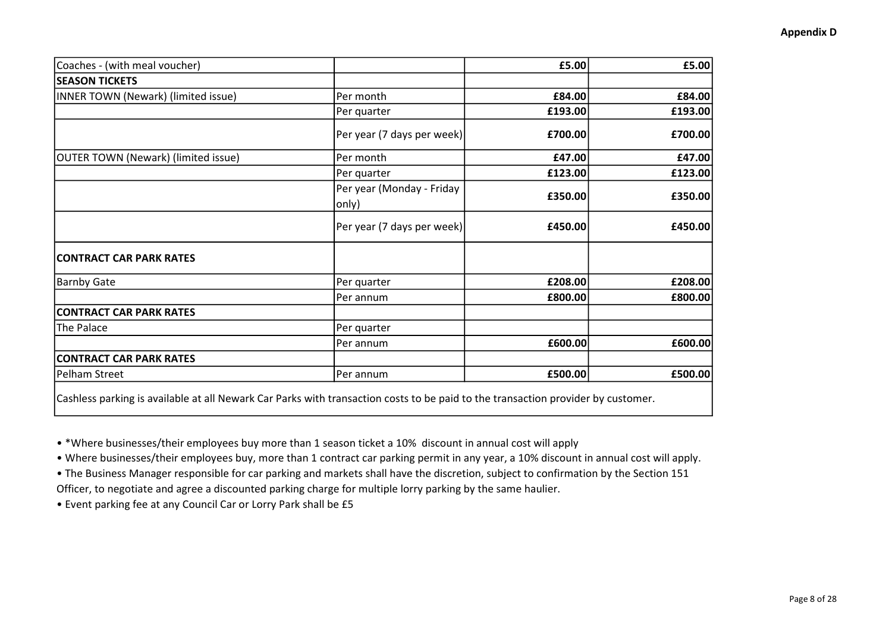| Coaches - (with meal voucher)       |                                    | £5.00   | £5.00   |
|-------------------------------------|------------------------------------|---------|---------|
| <b>SEASON TICKETS</b>               |                                    |         |         |
| INNER TOWN (Newark) (limited issue) | Per month                          | £84.00  | £84.00  |
|                                     | Per quarter                        | £193.00 | £193.00 |
|                                     | Per year (7 days per week)         | £700.00 | £700.00 |
| OUTER TOWN (Newark) (limited issue) | Per month                          | £47.00  | £47.00  |
|                                     | Per quarter                        | £123.00 | £123.00 |
|                                     | Per year (Monday - Friday<br>only) | £350.00 | £350.00 |
|                                     | Per year (7 days per week)         | £450.00 | £450.00 |
| <b>CONTRACT CAR PARK RATES</b>      |                                    |         |         |
| <b>Barnby Gate</b>                  | Per quarter                        | £208.00 | £208.00 |
|                                     | Per annum                          | £800.00 | £800.00 |
| <b>CONTRACT CAR PARK RATES</b>      |                                    |         |         |
| The Palace                          | Per quarter                        |         |         |
|                                     | Per annum                          | £600.00 | £600.00 |
| <b>CONTRACT CAR PARK RATES</b>      |                                    |         |         |
| Pelham Street                       | Per annum                          | £500.00 | £500.00 |

• \*Where businesses/their employees buy more than 1 season ticket a 10% discount in annual cost will apply

• Where businesses/their employees buy, more than 1 contract car parking permit in any year, a 10% discount in annual cost will apply.

• The Business Manager responsible for car parking and markets shall have the discretion, subject to confirmation by the Section 151

Officer, to negotiate and agree a discounted parking charge for multiple lorry parking by the same haulier.

• Event parking fee at any Council Car or Lorry Park shall be £5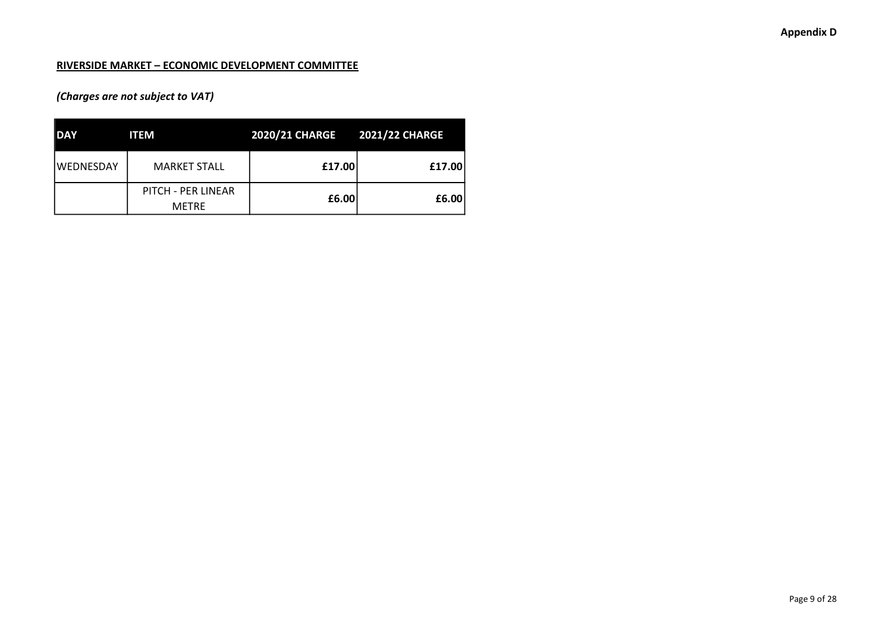### RIVERSIDE MARKET – ECONOMIC DEVELOPMENT COMMITTEE

# (Charges are not subject to VAT)

| <b>DAY</b>       | <b>ITEM</b>                        | 2020/21 CHARGE 2021/22 CHARGE |        |
|------------------|------------------------------------|-------------------------------|--------|
| <b>WEDNESDAY</b> | <b>MARKET STALL</b>                | £17.00                        | £17.00 |
|                  | PITCH - PER LINEAR<br><b>METRE</b> | £6.00                         | £6.00  |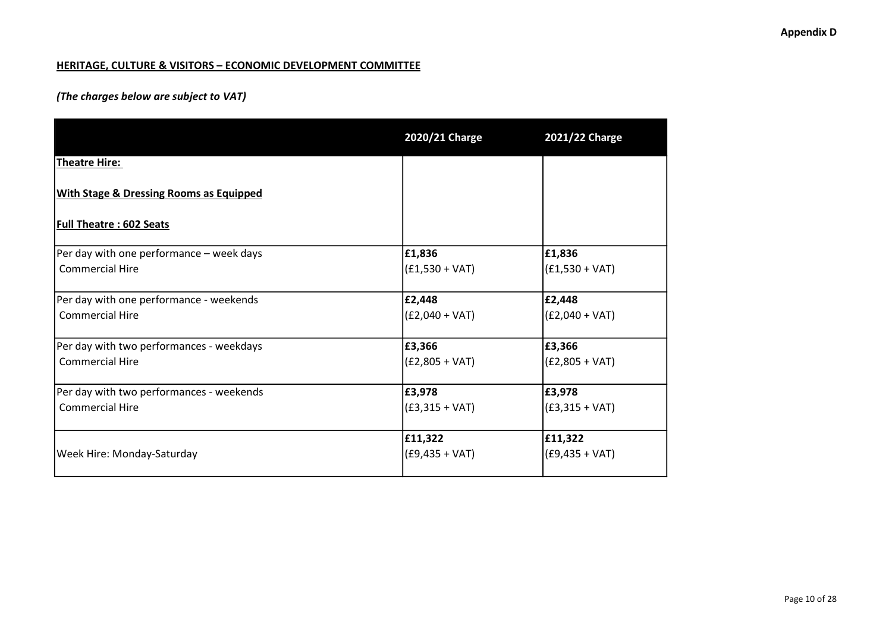### HERITAGE, CULTURE & VISITORS – ECONOMIC DEVELOPMENT COMMITTEE

## (The charges below are subject to VAT)

|                                                    | 2020/21 Charge   | 2021/22 Charge   |
|----------------------------------------------------|------------------|------------------|
| Theatre Hire:                                      |                  |                  |
| <b>With Stage &amp; Dressing Rooms as Equipped</b> |                  |                  |
| <b>Full Theatre: 602 Seats</b>                     |                  |                  |
| Per day with one performance - week days           | £1,836           | £1,836           |
| <b>Commercial Hire</b>                             | $(f1,530 + VAT)$ | $(f1,530 + VAT)$ |
| Per day with one performance - weekends            | £2,448           | £2,448           |
| <b>Commercial Hire</b>                             | $(E2,040 + VAT)$ | $(E2,040 + VAT)$ |
| Per day with two performances - weekdays           | £3,366           | £3,366           |
| <b>Commercial Hire</b>                             | $(E2,805 + VAT)$ | $(E2,805 + VAT)$ |
| Per day with two performances - weekends           | £3,978           | £3,978           |
| <b>Commercial Hire</b>                             | $(£3,315 + VAT)$ | $(£3,315 + VAT)$ |
|                                                    | £11,322          | £11,322          |
| Week Hire: Monday-Saturday                         | $(£9,435 + VAT)$ | $(£9,435 + VAT)$ |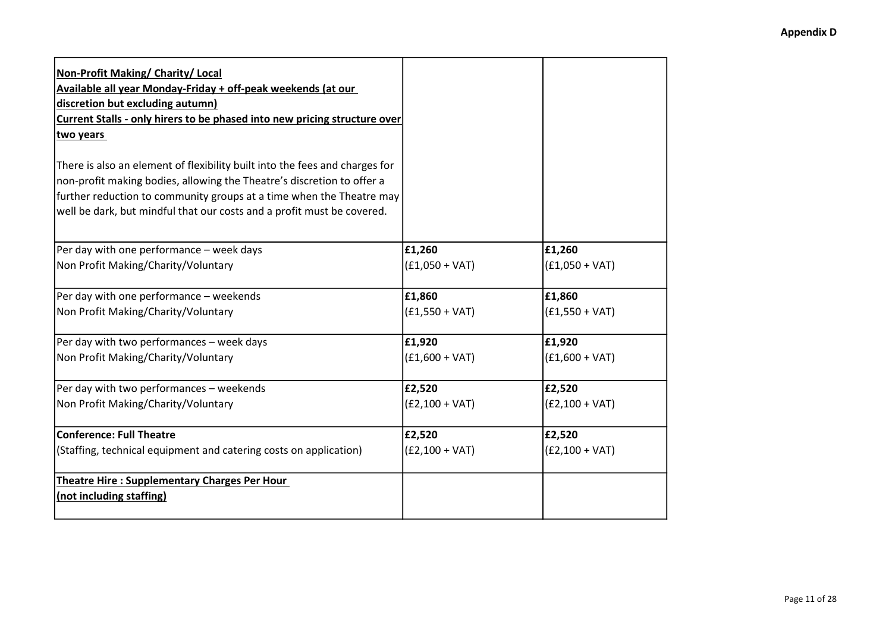| Non-Profit Making/ Charity/ Local                                           |                  |                  |
|-----------------------------------------------------------------------------|------------------|------------------|
| Available all year Monday-Friday + off-peak weekends (at our                |                  |                  |
| discretion but excluding autumn)                                            |                  |                  |
| Current Stalls - only hirers to be phased into new pricing structure over   |                  |                  |
| two years                                                                   |                  |                  |
| There is also an element of flexibility built into the fees and charges for |                  |                  |
| non-profit making bodies, allowing the Theatre's discretion to offer a      |                  |                  |
| further reduction to community groups at a time when the Theatre may        |                  |                  |
| well be dark, but mindful that our costs and a profit must be covered.      |                  |                  |
|                                                                             |                  |                  |
| Per day with one performance - week days                                    | £1,260           | £1,260           |
| Non Profit Making/Charity/Voluntary                                         | $(f1,050 + VAT)$ | $(E1,050 + VAT)$ |
| Per day with one performance - weekends                                     | £1,860           | £1,860           |
| Non Profit Making/Charity/Voluntary                                         | $(f1,550 + VAT)$ | $(f1,550 + VAT)$ |
| Per day with two performances - week days                                   | £1,920           | £1,920           |
| Non Profit Making/Charity/Voluntary                                         | $(E1,600 + VAT)$ | $(E1,600 + VAT)$ |
| Per day with two performances - weekends                                    | £2,520           | £2,520           |
| Non Profit Making/Charity/Voluntary                                         | $(E2,100 + VAT)$ | $(E2,100 + VAT)$ |
| <b>Conference: Full Theatre</b>                                             | £2,520           | £2,520           |
| (Staffing, technical equipment and catering costs on application)           | $(E2,100 + VAT)$ | $(E2,100 + VAT)$ |
| <b>Theatre Hire: Supplementary Charges Per Hour</b>                         |                  |                  |
| (not including staffing)                                                    |                  |                  |
|                                                                             |                  |                  |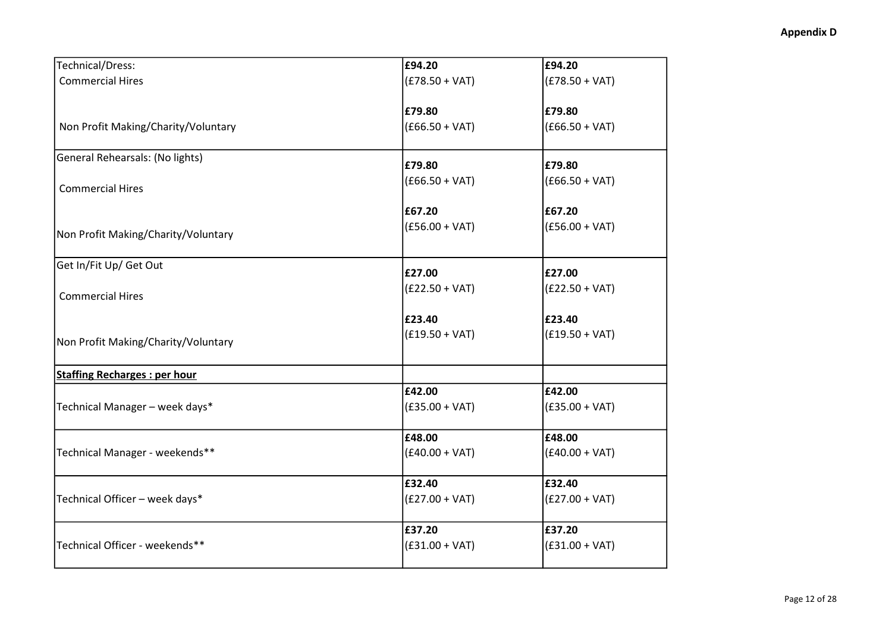| Technical/Dress:                    | £94.20           | £94.20           |
|-------------------------------------|------------------|------------------|
| <b>Commercial Hires</b>             | $(£78.50 + VAT)$ | $(E78.50 + VAT)$ |
|                                     |                  |                  |
|                                     | £79.80           | £79.80           |
| Non Profit Making/Charity/Voluntary | $(£66.50 + VAT)$ | $(£66.50 + VAT)$ |
| General Rehearsals: (No lights)     |                  |                  |
|                                     | £79.80           | £79.80           |
| <b>Commercial Hires</b>             | $(£66.50 + VAT)$ | $(£66.50 + VAT)$ |
|                                     | £67.20           | £67.20           |
|                                     | $(£56.00 + VAT)$ | $(£56.00 + VAT)$ |
| Non Profit Making/Charity/Voluntary |                  |                  |
| Get In/Fit Up/ Get Out              | £27.00           | £27.00           |
|                                     | $(E22.50 + VAT)$ | $(E22.50 + VAT)$ |
| <b>Commercial Hires</b>             |                  |                  |
|                                     | £23.40           | £23.40           |
|                                     | $(£19.50 + VAT)$ | $(E19.50 + VAT)$ |
| Non Profit Making/Charity/Voluntary |                  |                  |
| <b>Staffing Recharges: per hour</b> |                  |                  |
|                                     | £42.00           | £42.00           |
| Technical Manager - week days*      | $(£35.00 + VAT)$ | $(£35.00 + VAT)$ |
|                                     | £48.00           | £48.00           |
| Technical Manager - weekends**      | $(£40.00 + VAT)$ | $(E40.00 + VAT)$ |
|                                     |                  |                  |
|                                     | £32.40           | £32.40           |
| Technical Officer - week days*      | $(E27.00 + VAT)$ | $(E27.00 + VAT)$ |
|                                     | £37.20           | £37.20           |
| Technical Officer - weekends**      | $(E31.00 + VAT)$ | $(E31.00 + VAT)$ |
|                                     |                  |                  |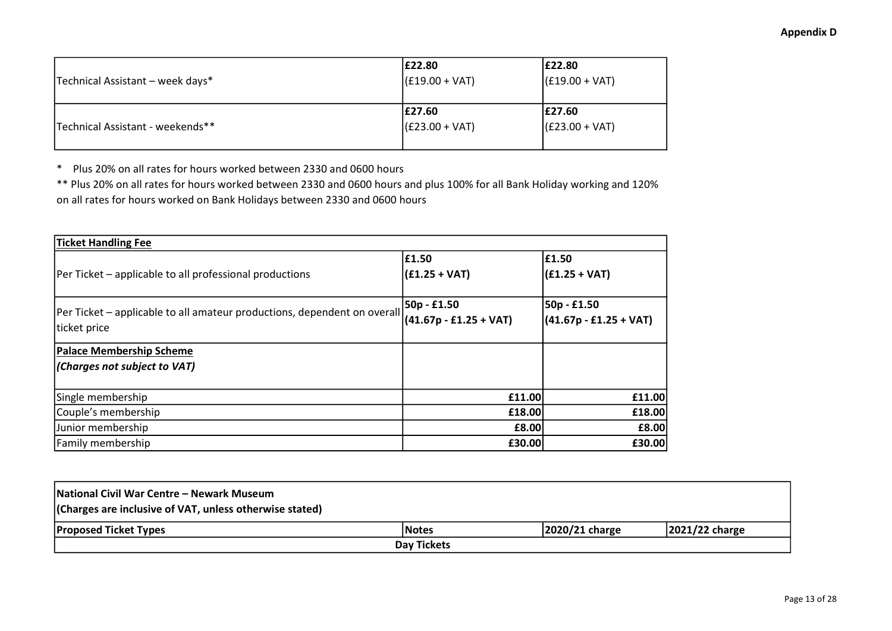| Technical Assistant - week days* | E22.80<br>$ (£19.00 + VAT)$ | E22.80<br>$(£19.00 + VAT)$  |
|----------------------------------|-----------------------------|-----------------------------|
| Technical Assistant - weekends** | £27.60<br>$(£23.00 + VAT)$  | E27.60<br>$ (£23.00 + VAT)$ |

\* Plus 20% on all rates for hours worked between 2330 and 0600 hours

\*\* Plus 20% on all rates for hours worked between 2330 and 0600 hours and plus 100% for all Bank Holiday working and 120% on all rates for hours worked on Bank Holidays between 2330 and 0600 hours

| <b>Ticket Handling Fee</b>                                                               |                                         |                                         |
|------------------------------------------------------------------------------------------|-----------------------------------------|-----------------------------------------|
| Per Ticket - applicable to all professional productions                                  | £1.50<br>$(f1.25 + VAT)$                | E1.50<br>$(f1.25 + VAT)$                |
| Per Ticket - applicable to all amateur productions, dependent on overall<br>ticket price | 50p - £1.50<br>$(41.67p - £1.25 + VAT)$ | 50p - £1.50<br>$(41.67p - £1.25 + VAT)$ |
| <b>Palace Membership Scheme</b><br>(Charges not subject to VAT)                          |                                         |                                         |
| Single membership                                                                        | £11.00                                  | £11.00                                  |
| Couple's membership                                                                      | £18.00                                  | £18.00                                  |
| Junior membership                                                                        | £8.00                                   | £8.00                                   |
| Family membership                                                                        | £30.00                                  | £30.00                                  |

| National Civil War Centre – Newark Museum<br>(Charges are inclusive of VAT, unless otherwise stated) |              |                   |                   |  |
|------------------------------------------------------------------------------------------------------|--------------|-------------------|-------------------|--|
| <b>Proposed Ticket Types</b>                                                                         | <b>Notes</b> | $ 2020/21$ charge | $ 2021/22$ charge |  |
| Day Tickets                                                                                          |              |                   |                   |  |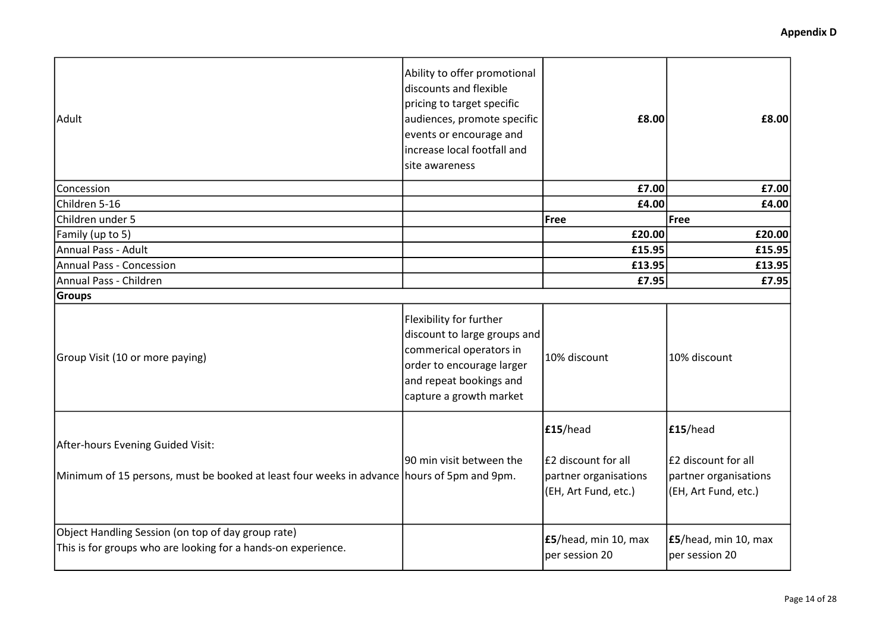| Adult                                                                                                                           | Ability to offer promotional<br>discounts and flexible<br>pricing to target specific<br>audiences, promote specific<br>events or encourage and<br>increase local footfall and<br>site awareness | £8.00                                                                            | £8.00                                                                            |
|---------------------------------------------------------------------------------------------------------------------------------|-------------------------------------------------------------------------------------------------------------------------------------------------------------------------------------------------|----------------------------------------------------------------------------------|----------------------------------------------------------------------------------|
| Concession                                                                                                                      |                                                                                                                                                                                                 | £7.00                                                                            | £7.00                                                                            |
| Children 5-16                                                                                                                   |                                                                                                                                                                                                 | £4.00                                                                            | £4.00                                                                            |
| Children under 5                                                                                                                |                                                                                                                                                                                                 | Free                                                                             | Free                                                                             |
| Family (up to 5)                                                                                                                |                                                                                                                                                                                                 | £20.00                                                                           | £20.00                                                                           |
| Annual Pass - Adult                                                                                                             |                                                                                                                                                                                                 | £15.95                                                                           | £15.95                                                                           |
| <b>Annual Pass - Concession</b>                                                                                                 |                                                                                                                                                                                                 | £13.95                                                                           | £13.95                                                                           |
| Annual Pass - Children                                                                                                          |                                                                                                                                                                                                 | £7.95                                                                            | £7.95                                                                            |
| <b>Groups</b>                                                                                                                   |                                                                                                                                                                                                 |                                                                                  |                                                                                  |
| Group Visit (10 or more paying)                                                                                                 | Flexibility for further<br>discount to large groups and<br>commerical operators in<br>order to encourage larger<br>and repeat bookings and<br>capture a growth market                           | 10% discount                                                                     | 10% discount                                                                     |
| After-hours Evening Guided Visit:<br>Minimum of 15 persons, must be booked at least four weeks in advance hours of 5pm and 9pm. | 190 min visit between the                                                                                                                                                                       | E15/head<br>E2 discount for all<br>partner organisations<br>(EH, Art Fund, etc.) | E15/head<br>E2 discount for all<br>partner organisations<br>(EH, Art Fund, etc.) |
| Object Handling Session (on top of day group rate)<br>This is for groups who are looking for a hands-on experience.             |                                                                                                                                                                                                 | <b>£5</b> /head, min 10, max<br>per session 20                                   | E5/head, min 10, max<br>per session 20                                           |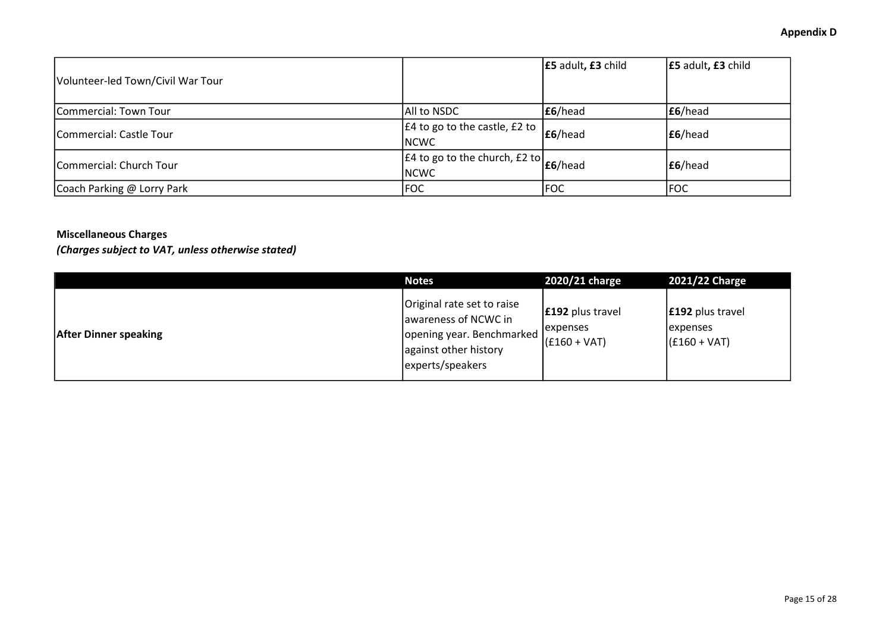| Volunteer-led Town/Civil War Tour |                                                                           | E5 adult, E3 child | E5 adult, E3 child |
|-----------------------------------|---------------------------------------------------------------------------|--------------------|--------------------|
| Commercial: Town Tour             | All to NSDC                                                               | E6/head            | E6/head            |
| Commercial: Castle Tour           | $E4$ to go to the castle, £2 to<br><b>INCWC</b>                           | E6/head            | E6/head            |
| Commercial: Church Tour           | $\sqrt{f4 \text{ to go to the church}}$ , £2 to $f6$ /head<br><b>NCWC</b> |                    | E6/head            |
| Coach Parking @ Lorry Park        | <b>FOC</b>                                                                | FOC                | FOC                |

## Miscellaneous Charges

(Charges subject to VAT, unless otherwise stated)

|                              | <b>Notes</b>                                                                                                                   | 2020/21 charge                                      | 2021/22 Charge                                                |
|------------------------------|--------------------------------------------------------------------------------------------------------------------------------|-----------------------------------------------------|---------------------------------------------------------------|
| <b>After Dinner speaking</b> | Original rate set to raise<br>awareness of NCWC in<br>  opening year. Benchmarked<br>against other history<br>experts/speakers | $ £192$ plus travel<br>lexpenses<br>$ (£160 + VAT)$ | <b>E192</b> plus travel<br><b>lexpenses</b><br>$(£160 + VAT)$ |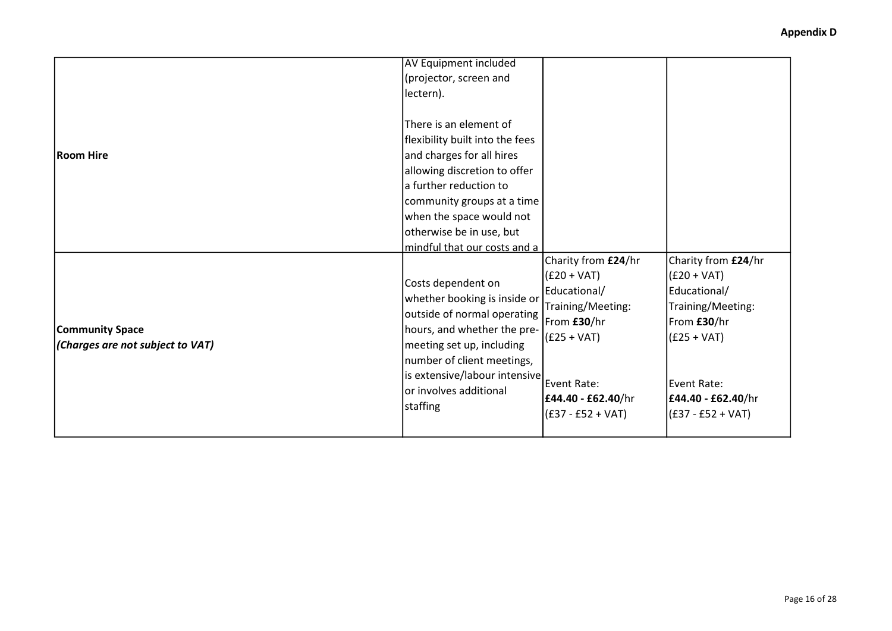| <b>Room Hire</b>                                           | AV Equipment included<br>(projector, screen and<br>lectern).<br>There is an element of<br>flexibility built into the fees<br>and charges for all hires<br>allowing discretion to offer<br>la further reduction to<br> community groups at a time                                                                                           |                                                                                                                                                                       |                                                                                                                                                                       |
|------------------------------------------------------------|--------------------------------------------------------------------------------------------------------------------------------------------------------------------------------------------------------------------------------------------------------------------------------------------------------------------------------------------|-----------------------------------------------------------------------------------------------------------------------------------------------------------------------|-----------------------------------------------------------------------------------------------------------------------------------------------------------------------|
| <b>Community Space</b><br>(Charges are not subject to VAT) | when the space would not<br>otherwise be in use, but<br>mindful that our costs and a<br>Costs dependent on<br>whether booking is inside or<br>outside of normal operating<br>hours, and whether the pre-<br>meeting set up, including<br>number of client meetings,<br>is extensive/labour intensive<br>or involves additional<br>staffing | Charity from £24/hr<br>$(E20 + VAT)$<br>Educational/<br>Training/Meeting:<br>From £30/hr<br>$(E25 + VAT)$<br>Event Rate:<br>£44.40 - £62.40/hr<br>$(£37 - £52 + VAT)$ | Charity from £24/hr<br>$(E20 + VAT)$<br>Educational/<br>Training/Meeting:<br>From £30/hr<br>$(E25 + VAT)$<br>Event Rate:<br>£44.40 - £62.40/hr<br>$(£37 - £52 + VAT)$ |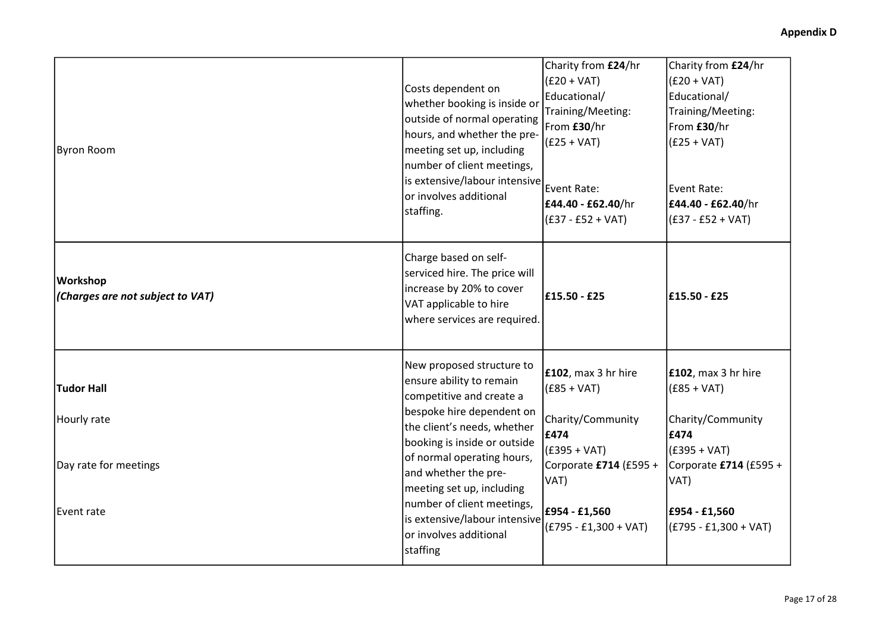| Byron Room                                                              | Costs dependent on<br>whether booking is inside or<br>outside of normal operating<br>hours, and whether the pre-<br>meeting set up, including<br>number of client meetings,<br>is extensive/labour intensive<br>or involves additional<br>staffing.                                                                                                                   | Charity from £24/hr<br>$(E20 + VAT)$<br>Educational/<br>Training/Meeting:<br>From £30/hr<br>$(E25 + VAT)$<br>Event Rate:<br>£44.40 - £62.40/hr<br>$(E37 - E52 + VAT)$     | Charity from £24/hr<br>$(E20 + VAT)$<br>Educational/<br>Training/Meeting:<br>From £30/hr<br>$(E25 + VAT)$<br>Event Rate:<br>£44.40 - £62.40/hr<br>(£37 - £52 + VAT)       |
|-------------------------------------------------------------------------|-----------------------------------------------------------------------------------------------------------------------------------------------------------------------------------------------------------------------------------------------------------------------------------------------------------------------------------------------------------------------|---------------------------------------------------------------------------------------------------------------------------------------------------------------------------|---------------------------------------------------------------------------------------------------------------------------------------------------------------------------|
| <b>Workshop</b><br>(Charges are not subject to VAT)                     | Charge based on self-<br>serviced hire. The price will<br>increase by 20% to cover<br>VAT applicable to hire<br>where services are required.                                                                                                                                                                                                                          | £15.50 - £25                                                                                                                                                              | £15.50 - £25                                                                                                                                                              |
| <b>Tudor Hall</b><br>Hourly rate<br>Day rate for meetings<br>Event rate | New proposed structure to<br>ensure ability to remain<br>competitive and create a<br>bespoke hire dependent on<br>the client's needs, whether<br>booking is inside or outside<br>of normal operating hours,<br>and whether the pre-<br>meeting set up, including<br>number of client meetings,<br>is extensive/labour intensive<br>or involves additional<br>staffing | <b>£102</b> , max 3 hr hire<br>$(£85 + VAT)$<br>Charity/Community<br>£474<br>$(E395 + VAT)$<br>Corporate £714 (£595 +<br>VAT)<br>£954 - £1,560<br>$(E795 - E1,300 + VAT)$ | <b>£102</b> , max 3 hr hire<br>$(£85 + VAT)$<br>Charity/Community<br>£474<br>$(£395 + VAT)$<br>Corporate £714 (£595 +<br>VAT)<br>£954 - £1,560<br>$(E795 - E1,300 + VAT)$ |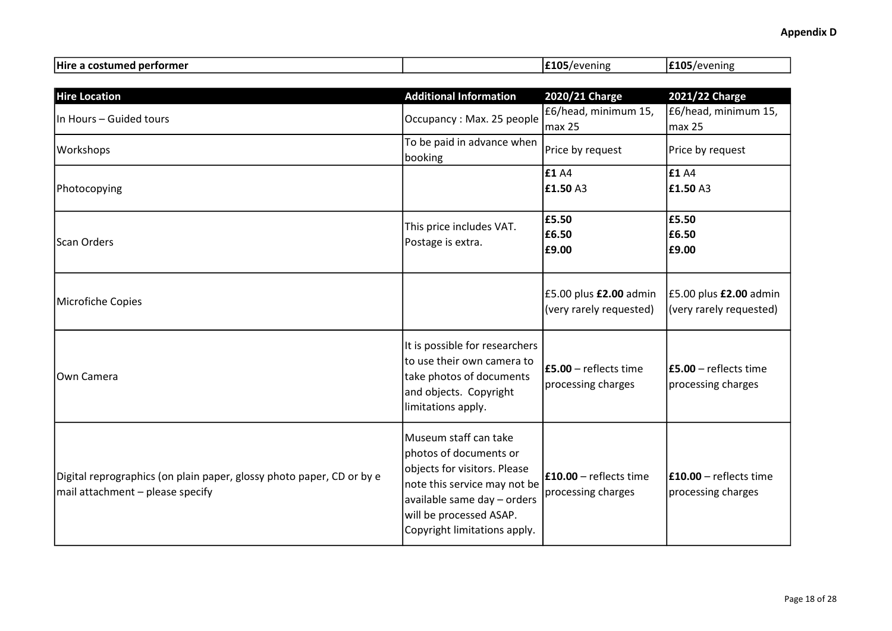| Hire a costumed performer                                                                                 |                                                                                                                                                                                                           | £105/evening                                      | £105/evening                                            |
|-----------------------------------------------------------------------------------------------------------|-----------------------------------------------------------------------------------------------------------------------------------------------------------------------------------------------------------|---------------------------------------------------|---------------------------------------------------------|
|                                                                                                           |                                                                                                                                                                                                           |                                                   |                                                         |
| <b>Hire Location</b>                                                                                      | <b>Additional Information</b>                                                                                                                                                                             | 2020/21 Charge                                    | 2021/22 Charge                                          |
| In Hours - Guided tours                                                                                   | Occupancy: Max. 25 people                                                                                                                                                                                 | £6/head, minimum 15,<br>max 25                    | £6/head, minimum 15,<br>max <sub>25</sub>               |
| Workshops                                                                                                 | To be paid in advance when<br>booking                                                                                                                                                                     | Price by request                                  | Price by request                                        |
| Photocopying                                                                                              |                                                                                                                                                                                                           | £1 A4<br>£1.50 A3                                 | £1 A4<br>E1.50 A3                                       |
| Scan Orders                                                                                               | This price includes VAT.<br>Postage is extra.                                                                                                                                                             | £5.50<br>£6.50<br>£9.00                           | £5.50<br>£6.50<br>£9.00                                 |
| Microfiche Copies                                                                                         |                                                                                                                                                                                                           | £5.00 plus £2.00 admin<br>(very rarely requested) | £5.00 plus £2.00 admin<br>(very rarely requested)       |
| Own Camera                                                                                                | It is possible for researchers<br>to use their own camera to<br>take photos of documents<br>and objects. Copyright<br>limitations apply.                                                                  | $E5.00$ – reflects time<br>processing charges     | $\mathsf{If5.00}$ – reflects time<br>processing charges |
| Digital reprographics (on plain paper, glossy photo paper, CD or by e<br>mail attachment - please specify | Museum staff can take<br>photos of documents or<br>objects for visitors. Please<br>note this service may not be<br>available same day - orders<br>will be processed ASAP.<br>Copyright limitations apply. | $£10.00 -$ reflects time<br>processing charges    | <b>£10.00</b> - reflects time<br>processing charges     |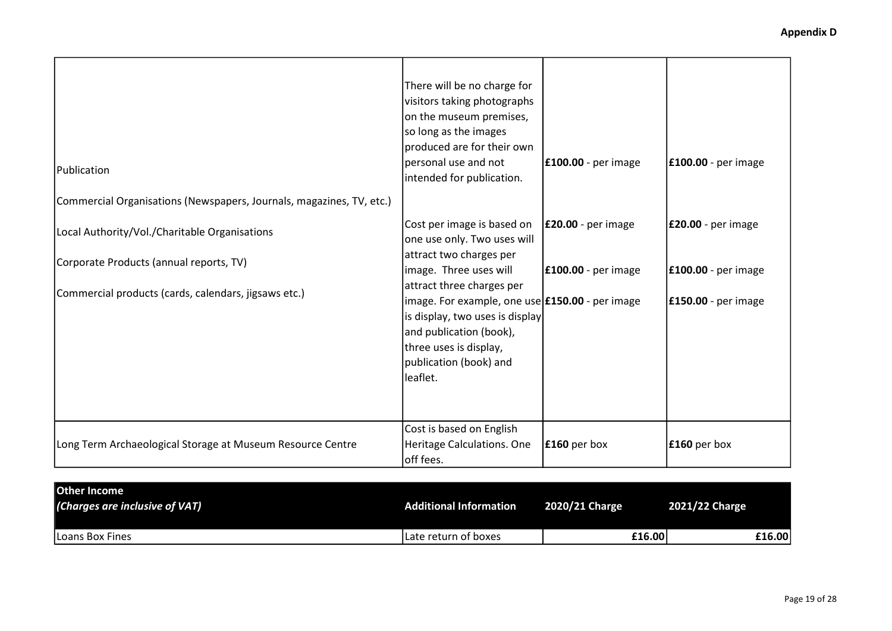| Publication<br>Commercial Organisations (Newspapers, Journals, magazines, TV, etc.) | There will be no charge for<br>visitors taking photographs<br>on the museum premises,<br>so long as the images<br>produced are for their own<br>personal use and not<br>intended for publication.                 | <b>E100.00</b> - per image    | <b>E100.00</b> - per image |
|-------------------------------------------------------------------------------------|-------------------------------------------------------------------------------------------------------------------------------------------------------------------------------------------------------------------|-------------------------------|----------------------------|
| Local Authority/Vol./Charitable Organisations                                       | Cost per image is based on<br>one use only. Two uses will<br>attract two charges per                                                                                                                              | $\mathsf{E20.00}$ - per image | <b>E20.00</b> - per image  |
| Corporate Products (annual reports, TV)                                             | image. Three uses will                                                                                                                                                                                            | <b>E100.00</b> - per image    | <b>E100.00</b> - per image |
| Commercial products (cards, calendars, jigsaws etc.)                                | attract three charges per<br>image. For example, one use <b>£150.00</b> - per image<br>is display, two uses is display<br>and publication (book),<br>three uses is display,<br>publication (book) and<br>leaflet. |                               | <b>£150.00</b> - per image |
| Long Term Archaeological Storage at Museum Resource Centre                          | Cost is based on English<br>Heritage Calculations. One<br>off fees.                                                                                                                                               | $\mathbf{f}$ 160 per box      | $\mathbf{f}$ 160 per box   |

| <b>Other Income</b><br>(Charges are inclusive of VAT) | <b>Additional Information</b> | 2020/21 Charge | 2021/22 Charge |        |
|-------------------------------------------------------|-------------------------------|----------------|----------------|--------|
| Loans Box Fines                                       | Late return of boxes          | £16.00         |                | £16.00 |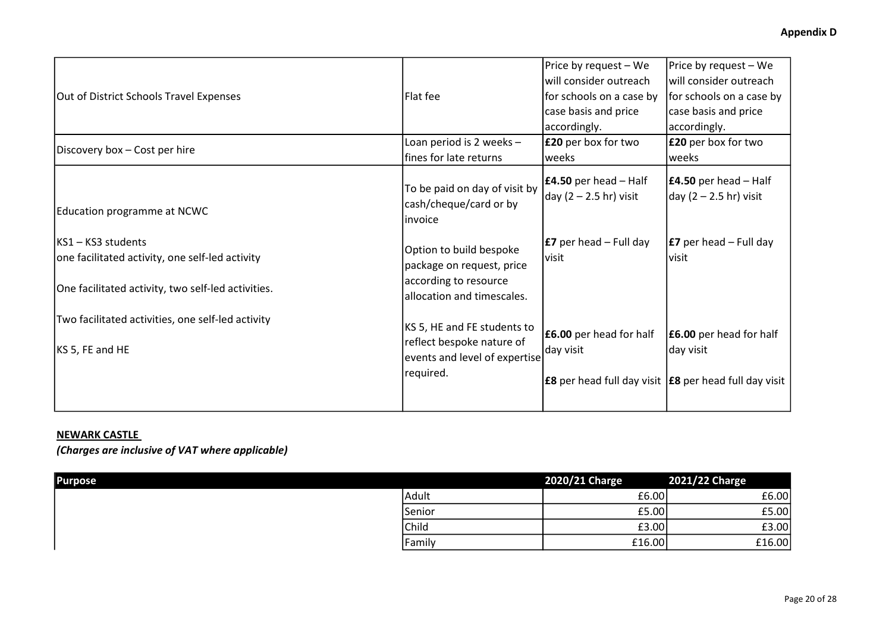|                                                                       |                                                                    | Price by request - We                                | Price by request - We                                               |
|-----------------------------------------------------------------------|--------------------------------------------------------------------|------------------------------------------------------|---------------------------------------------------------------------|
|                                                                       |                                                                    | will consider outreach                               | lwill consider outreach                                             |
| Out of District Schools Travel Expenses                               | Flat fee                                                           | for schools on a case by                             | for schools on a case by                                            |
|                                                                       |                                                                    | case basis and price                                 | case basis and price                                                |
|                                                                       |                                                                    | accordingly.                                         | accordingly.                                                        |
| Discovery box - Cost per hire                                         | Loan period is 2 weeks -                                           | £20 per box for two                                  | <b>£20</b> per box for two                                          |
|                                                                       | fines for late returns                                             | weeks                                                | weeks                                                               |
| Education programme at NCWC                                           | To be paid on day of visit by<br>cash/cheque/card or by<br>invoice | $E4.50$ per head – Half<br>day $(2 - 2.5)$ hr) visit | $E4.50$ per head – Half<br>day (2 – 2.5 hr) visit                   |
| KS1 – KS3 students<br>one facilitated activity, one self-led activity | Option to build bespoke<br>package on request, price               | <b>E7</b> per head – Full day<br>visit               | <b>E7</b> per head $-$ Full day<br> visit                           |
| One facilitated activity, two self-led activities.                    | according to resource<br>allocation and timescales.                |                                                      |                                                                     |
| Two facilitated activities, one self-led activity                     | KS 5, HE and FE students to                                        | <b>£6.00</b> per head for half                       | <b>E6.00</b> per head for half                                      |
| KS 5, FE and HE                                                       | reflect bespoke nature of<br>events and level of expertise         | day visit                                            | day visit                                                           |
|                                                                       | required.                                                          |                                                      | <b>E8</b> per head full day visit <b>E8</b> per head full day visit |

## NEWARK CASTLE

(Charges are inclusive of VAT where applicable)

| <b>Purpose</b> |        | 2020/21 Charge | 2021/22 Charge |
|----------------|--------|----------------|----------------|
|                | Adult  | £6.00          | £6.00          |
|                | Senior | £5.00          | £5.00          |
|                | Child  | £3.00          | £3.00          |
|                | Family | £16.00         | £16.00         |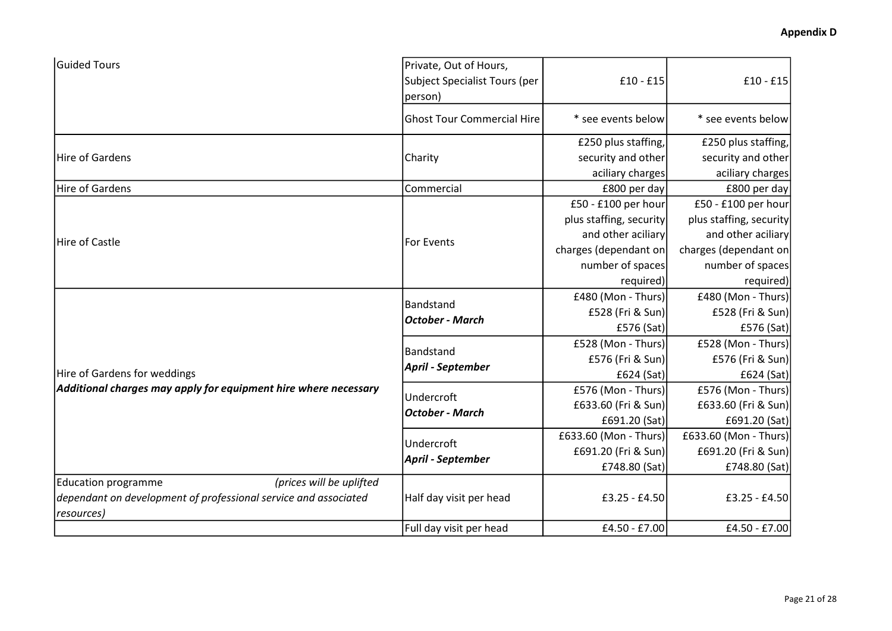| <b>Guided Tours</b>                                                                                                       | Private, Out of Hours,              |                         |                         |
|---------------------------------------------------------------------------------------------------------------------------|-------------------------------------|-------------------------|-------------------------|
|                                                                                                                           | Subject Specialist Tours (per       | $£10 - £15$             | $£10 - £15$             |
|                                                                                                                           | person)                             |                         |                         |
|                                                                                                                           | <b>Ghost Tour Commercial Hire</b>   | * see events below      | * see events below      |
|                                                                                                                           |                                     | £250 plus staffing,     | £250 plus staffing,     |
| Hire of Gardens                                                                                                           | Charity                             | security and other      | security and other      |
|                                                                                                                           |                                     | aciliary charges        | aciliary charges        |
| Hire of Gardens                                                                                                           | Commercial                          | £800 per day            | £800 per day            |
|                                                                                                                           |                                     | £50 - £100 per hour     | £50 - £100 per hour     |
|                                                                                                                           |                                     | plus staffing, security | plus staffing, security |
| Hire of Castle                                                                                                            | For Events                          | and other aciliary      | and other aciliary      |
|                                                                                                                           |                                     | charges (dependant on   | charges (dependant on   |
|                                                                                                                           |                                     | number of spaces        | number of spaces        |
|                                                                                                                           |                                     | required)               | required)               |
|                                                                                                                           | Bandstand<br><b>October - March</b> | £480 (Mon - Thurs)      | £480 (Mon - Thurs)      |
|                                                                                                                           |                                     | £528 (Fri & Sun)        | £528 (Fri & Sun)        |
|                                                                                                                           |                                     | £576 (Sat)              | £576 (Sat)              |
|                                                                                                                           | Bandstand                           | £528 (Mon - Thurs)      | £528 (Mon - Thurs)      |
|                                                                                                                           | April - September                   | £576 (Fri & Sun)        | £576 (Fri & Sun)        |
| Hire of Gardens for weddings                                                                                              |                                     | £624 (Sat)              | £624 (Sat)              |
| Additional charges may apply for equipment hire where necessary                                                           | Undercroft                          | £576 (Mon - Thurs)      | £576 (Mon - Thurs)      |
|                                                                                                                           | <b>October - March</b>              | £633.60 (Fri & Sun)     | £633.60 (Fri & Sun)     |
|                                                                                                                           |                                     | £691.20 (Sat)           | £691.20 (Sat)           |
|                                                                                                                           | Undercroft                          | £633.60 (Mon - Thurs)   | £633.60 (Mon - Thurs)   |
|                                                                                                                           | April - September                   | £691.20 (Fri & Sun)     | £691.20 (Fri & Sun)     |
|                                                                                                                           |                                     | £748.80 (Sat)           | £748.80 (Sat)           |
| <b>Education programme</b><br>(prices will be uplifted<br>dependant on development of professional service and associated | Half day visit per head             | £3.25 - £4.50           | £3.25 - £4.50           |
| resources)                                                                                                                |                                     |                         |                         |
|                                                                                                                           | Full day visit per head             | £4.50 - £7.00           | £4.50 - £7.00           |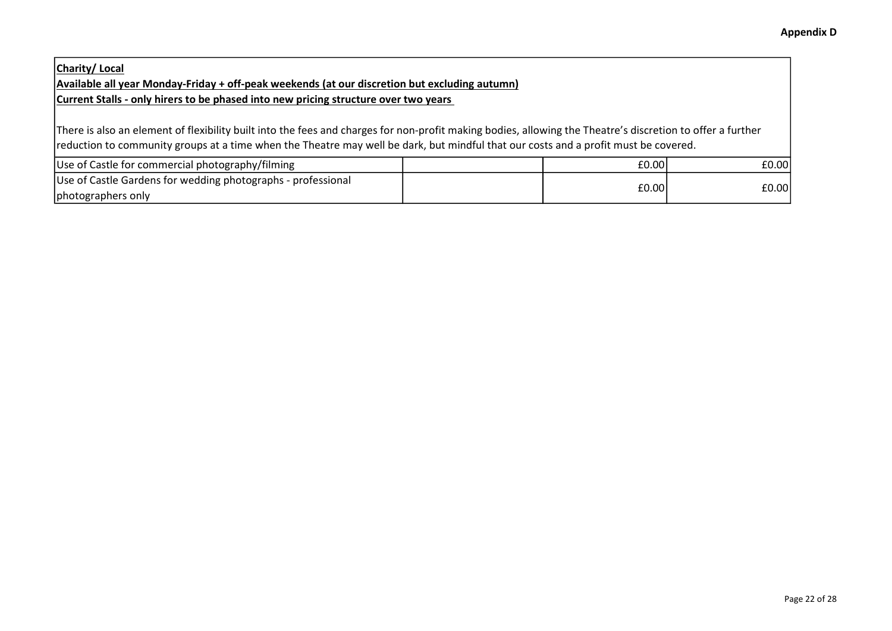## Charity/ Local Available all year Monday-Friday + off-peak weekends (at our discretion but excluding autumn) Current Stalls - only hirers to be phased into new pricing structure over two years

There is also an element of flexibility built into the fees and charges for non-profit making bodies, allowing the Theatre's discretion to offer a further reduction to community groups at a time when the Theatre may well be dark, but mindful that our costs and a profit must be covered.

| Use of Castle for commercial photography/filming             | £0.00 | £0.00 |
|--------------------------------------------------------------|-------|-------|
| Use of Castle Gardens for wedding photographs - professional | £0.00 | £0.00 |
| photographers only                                           |       |       |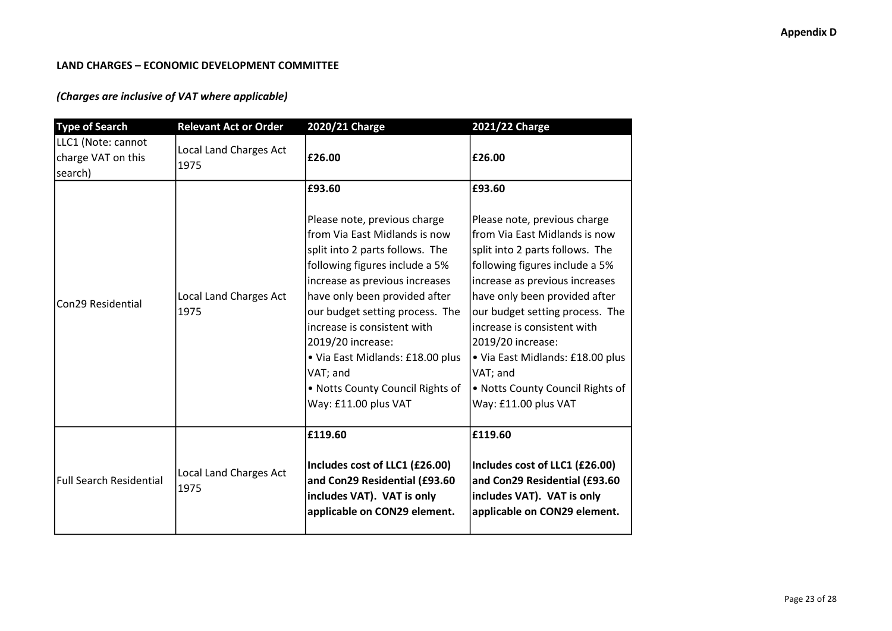### LAND CHARGES – ECONOMIC DEVELOPMENT COMMITTEE

## (Charges are inclusive of VAT where applicable)

| <b>Type of Search</b>                               | <b>Relevant Act or Order</b>          | 2020/21 Charge                                                                                                                                                                                                                                                                                                                                                                                                     | 2021/22 Charge                                                                                                                                                                                                                                                                                                                                                                                                     |
|-----------------------------------------------------|---------------------------------------|--------------------------------------------------------------------------------------------------------------------------------------------------------------------------------------------------------------------------------------------------------------------------------------------------------------------------------------------------------------------------------------------------------------------|--------------------------------------------------------------------------------------------------------------------------------------------------------------------------------------------------------------------------------------------------------------------------------------------------------------------------------------------------------------------------------------------------------------------|
| LLC1 (Note: cannot<br>charge VAT on this<br>search) | Local Land Charges Act<br>1975        | £26.00                                                                                                                                                                                                                                                                                                                                                                                                             | £26.00                                                                                                                                                                                                                                                                                                                                                                                                             |
| Con29 Residential                                   | <b>Local Land Charges Act</b><br>1975 | £93.60<br>Please note, previous charge<br>from Via East Midlands is now<br>split into 2 parts follows. The<br>following figures include a 5%<br>increase as previous increases<br>have only been provided after<br>our budget setting process. The<br>increase is consistent with<br>2019/20 increase:<br>• Via East Midlands: £18.00 plus<br>VAT; and<br>. Notts County Council Rights of<br>Way: £11.00 plus VAT | £93.60<br>Please note, previous charge<br>from Via East Midlands is now<br>split into 2 parts follows. The<br>following figures include a 5%<br>increase as previous increases<br>have only been provided after<br>our budget setting process. The<br>increase is consistent with<br>2019/20 increase:<br>· Via East Midlands: £18.00 plus<br>VAT; and<br>. Notts County Council Rights of<br>Way: £11.00 plus VAT |
| Full Search Residential                             | Local Land Charges Act<br>1975        | £119.60<br>Includes cost of LLC1 (£26.00)<br>and Con29 Residential (£93.60<br>includes VAT). VAT is only<br>applicable on CON29 element.                                                                                                                                                                                                                                                                           | £119.60<br>Includes cost of LLC1 (£26.00)<br>and Con29 Residential (£93.60<br>includes VAT). VAT is only<br>applicable on CON29 element.                                                                                                                                                                                                                                                                           |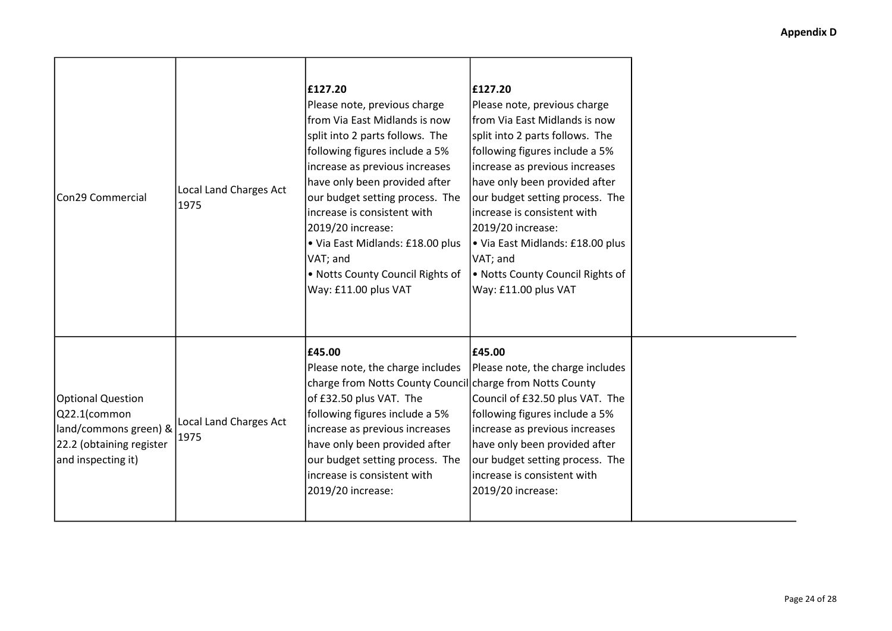| Con29 Commercial                                                                                                    | <b>Local Land Charges Act</b><br>1975 | £127.20<br>Please note, previous charge<br>lfrom Via East Midlands is now<br>split into 2 parts follows. The<br>following figures include a 5%<br>increase as previous increases<br>have only been provided after<br>our budget setting process. The<br>increase is consistent with<br>2019/20 increase:<br>. Via East Midlands: £18.00 plus<br>VAT; and<br>. Notts County Council Rights of<br>Way: £11.00 plus VAT | £127.20<br>Please note, previous charge<br>lfrom Via East Midlands is now<br>split into 2 parts follows. The<br>following figures include a 5%<br>increase as previous increases<br>have only been provided after<br>our budget setting process. The<br>increase is consistent with<br>2019/20 increase:<br>• Via East Midlands: £18.00 plus<br>VAT; and<br>. Notts County Council Rights of<br>Way: £11.00 plus VAT |  |
|---------------------------------------------------------------------------------------------------------------------|---------------------------------------|----------------------------------------------------------------------------------------------------------------------------------------------------------------------------------------------------------------------------------------------------------------------------------------------------------------------------------------------------------------------------------------------------------------------|----------------------------------------------------------------------------------------------------------------------------------------------------------------------------------------------------------------------------------------------------------------------------------------------------------------------------------------------------------------------------------------------------------------------|--|
| <b>Optional Question</b><br>Q22.1(common<br>land/commons green) &<br>22.2 (obtaining register<br>and inspecting it) | <b>Local Land Charges Act</b><br>1975 | £45.00<br>Please note, the charge includes<br>charge from Notts County Council charge from Notts County<br>of £32.50 plus VAT. The<br>following figures include a 5%<br>increase as previous increases<br>have only been provided after<br>our budget setting process. The<br>increase is consistent with<br>2019/20 increase:                                                                                       | £45.00<br>Please note, the charge includes<br>Council of £32.50 plus VAT. The<br>following figures include a 5%<br>increase as previous increases<br>have only been provided after<br>our budget setting process. The<br>increase is consistent with<br>2019/20 increase:                                                                                                                                            |  |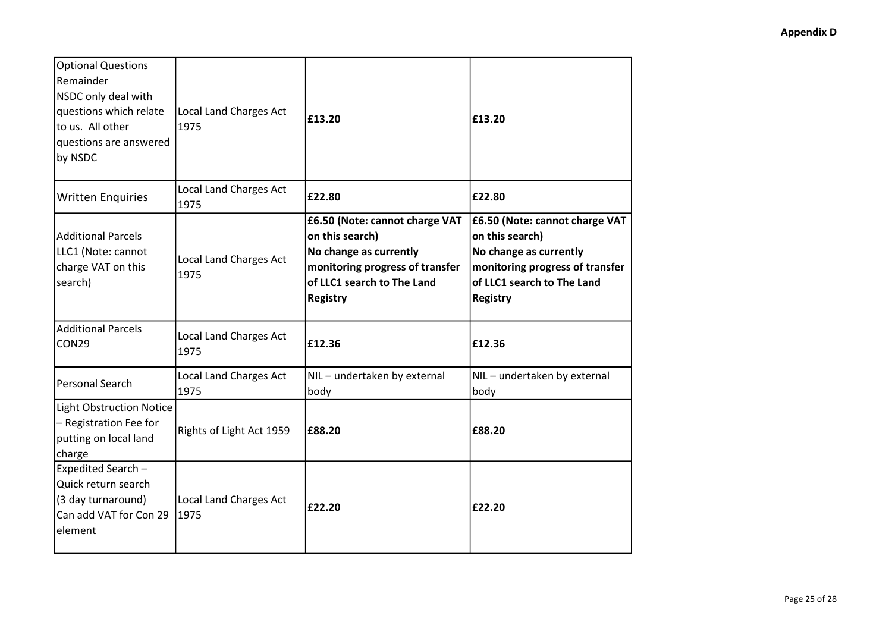| <b>Optional Questions</b><br>Remainder<br>NSDC only deal with<br>questions which relate<br>to us. All other<br>questions are answered<br>by NSDC | Local Land Charges Act<br>1975        | £13.20                                                                                                                                                          | £13.20                                                                                                                                                          |
|--------------------------------------------------------------------------------------------------------------------------------------------------|---------------------------------------|-----------------------------------------------------------------------------------------------------------------------------------------------------------------|-----------------------------------------------------------------------------------------------------------------------------------------------------------------|
| <b>Written Enquiries</b>                                                                                                                         | <b>Local Land Charges Act</b><br>1975 | £22.80                                                                                                                                                          | £22.80                                                                                                                                                          |
| <b>Additional Parcels</b><br>LLC1 (Note: cannot<br>charge VAT on this<br>search)                                                                 | <b>Local Land Charges Act</b><br>1975 | £6.50 (Note: cannot charge VAT<br>on this search)<br>No change as currently<br>monitoring progress of transfer<br>of LLC1 search to The Land<br><b>Registry</b> | £6.50 (Note: cannot charge VAT<br>on this search)<br>No change as currently<br>monitoring progress of transfer<br>of LLC1 search to The Land<br><b>Registry</b> |
| <b>Additional Parcels</b><br>CON29                                                                                                               | <b>Local Land Charges Act</b><br>1975 | £12.36                                                                                                                                                          | £12.36                                                                                                                                                          |
| Personal Search                                                                                                                                  | Local Land Charges Act<br>1975        | NIL - undertaken by external<br>body                                                                                                                            | NIL-undertaken by external<br>body                                                                                                                              |
| <b>Light Obstruction Notice</b><br>- Registration Fee for<br>putting on local land<br>charge                                                     | Rights of Light Act 1959              | £88.20                                                                                                                                                          | £88.20                                                                                                                                                          |
| Expedited Search -<br>Quick return search<br>(3 day turnaround)<br>Can add VAT for Con 29<br>element                                             | Local Land Charges Act<br>1975        | £22.20                                                                                                                                                          | £22.20                                                                                                                                                          |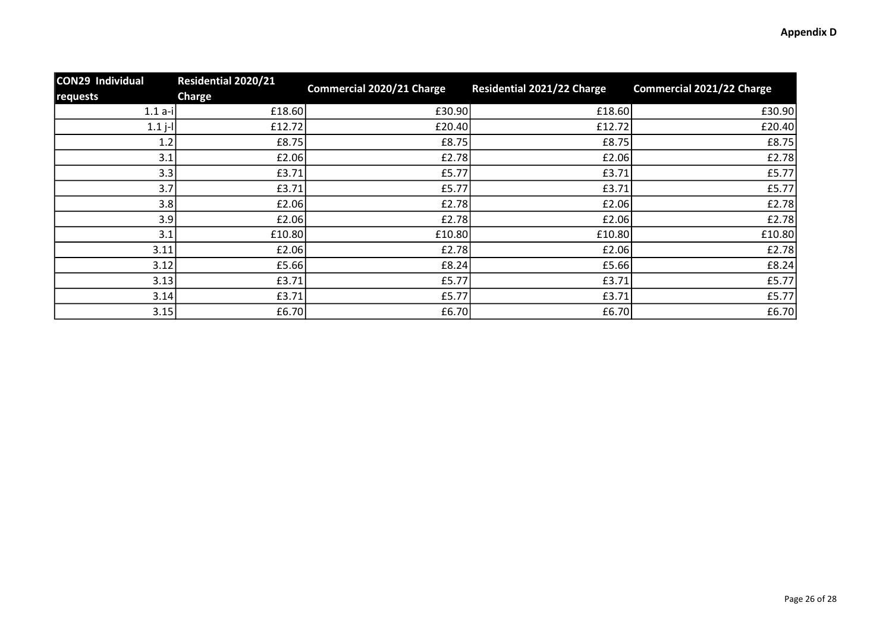| <b>CON29 Individual</b><br>requests | <b>Residential 2020/21</b><br>Charge | <b>Commercial 2020/21 Charge</b> | Residential 2021/22 Charge | <b>Commercial 2021/22 Charge</b> |
|-------------------------------------|--------------------------------------|----------------------------------|----------------------------|----------------------------------|
| $1.1 a-i$                           | £18.60                               | £30.90                           | £18.60                     | £30.90                           |
| $1.1 j - 1$                         | £12.72                               | £20.40                           | £12.72                     | £20.40                           |
| 1.2                                 | £8.75                                | £8.75                            | £8.75                      | E8.75                            |
| 3.1                                 | £2.06                                | E2.78                            | £2.06                      | E2.78                            |
| 3.3                                 | £3.71                                | £5.77                            | £3.71                      | £5.77                            |
| 3.7                                 | £3.71                                | £5.77                            | £3.71                      | £5.77                            |
| 3.8                                 | £2.06                                | E2.78                            | £2.06                      | E2.78                            |
| 3.9                                 | £2.06                                | £2.78                            | £2.06                      | E2.78                            |
| 3.1                                 | £10.80                               | £10.80                           | £10.80                     | £10.80                           |
| 3.11                                | £2.06                                | E2.78                            | £2.06                      | E2.78                            |
| 3.12                                | £5.66                                | £8.24                            | £5.66                      | E8.24                            |
| 3.13                                | £3.71                                | £5.77                            | £3.71                      | £5.77                            |
| 3.14                                | £3.71                                | £5.77                            | £3.71                      | £5.77                            |
| 3.15                                | £6.70                                | £6.70                            | £6.70                      | £6.70                            |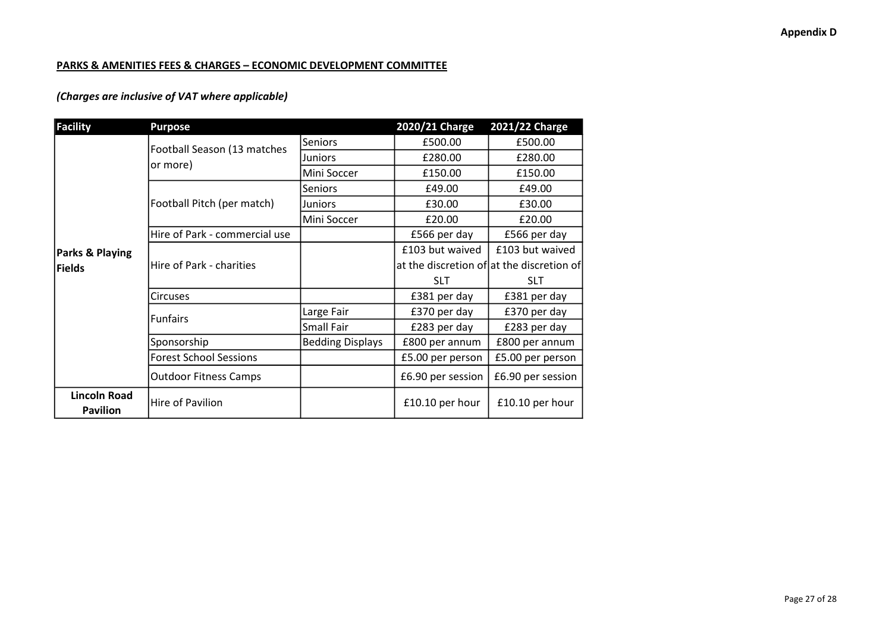### PARKS & AMENITIES FEES & CHARGES – ECONOMIC DEVELOPMENT COMMITTEE

## (Charges are inclusive of VAT where applicable)

| <b>Facility</b>     | <b>Purpose</b>                          |                         | 2020/21 Charge    | 2021/22 Charge                            |
|---------------------|-----------------------------------------|-------------------------|-------------------|-------------------------------------------|
|                     | Football Season (13 matches<br>or more) | <b>Seniors</b>          | £500.00           | £500.00                                   |
|                     |                                         | Juniors                 | £280.00           | £280.00                                   |
|                     |                                         | Mini Soccer             | £150.00           | £150.00                                   |
|                     | Football Pitch (per match)              | <b>Seniors</b>          | £49.00            | £49.00                                    |
|                     |                                         | Juniors                 | £30.00            | £30.00                                    |
|                     |                                         | Mini Soccer             | £20.00            | £20.00                                    |
|                     | Hire of Park - commercial use           |                         | £566 per day      | £566 per day                              |
| Parks & Playing     | Hire of Park - charities                |                         | £103 but waived   | £103 but waived                           |
| Fields              |                                         |                         |                   | at the discretion of at the discretion of |
|                     |                                         |                         | <b>SLT</b>        | <b>SLT</b>                                |
|                     | <b>Circuses</b>                         |                         | £381 per day      | £381 per day                              |
|                     | <b>Funfairs</b>                         | Large Fair              | £370 per day      | £370 per day                              |
|                     |                                         | <b>Small Fair</b>       | £283 per day      | £283 per day                              |
|                     | Sponsorship                             | <b>Bedding Displays</b> | £800 per annum    | £800 per annum                            |
|                     | <b>Forest School Sessions</b>           |                         | £5.00 per person  | £5.00 per person                          |
|                     | <b>Outdoor Fitness Camps</b>            |                         | £6.90 per session | £6.90 per session                         |
| <b>Lincoln Road</b> | Hire of Pavilion                        |                         | £10.10 per hour   | £10.10 per hour                           |
| <b>Pavilion</b>     |                                         |                         |                   |                                           |